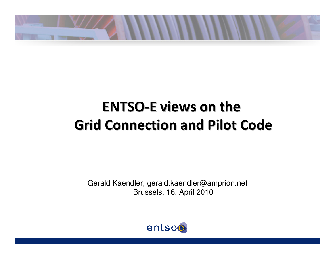

# **ENTSO-E views on the Grid Connection and Pilot Code**

Gerald Kaendler, gerald.kaendler@amprion.netBrussels, 16. April 2010

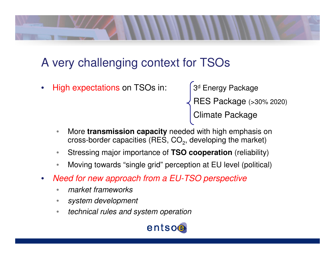

# A very challenging context for TSOs

•• High expectations on TSOs in: 3<sup>d</sup> Energy Package

RES Package (>30% 2020)

Climate Package

- • More **transmission capacity** needed with high emphasis on cross-border capacities (RES, CO $_2$ , developing the market)
- $\bullet$ Stressing major importance of **TSO cooperation** (reliability)
- •Moving towards "single grid" perception at EU level (political)
- $\bullet$  Need for new approach from a EU-TSO perspective
	- •market frameworks
	- •system development
	- •technical rules and system operation

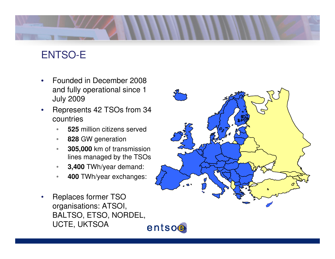

## ENTSO-E

- • Founded in December 2008 and fully operational since 1 July 2009
- Represents 42 TSOs from 34  $\bullet$ countries
	- •**<sup>525</sup>** million citizens served
	- $\bullet$ **<sup>828</sup>** GW generation
	- • **305,000** km of transmission lines managed by the TSOs
	- •**3,400** TWh/year demand:
	- •**<sup>400</sup>** TWh/year exchanges:
- Replaces former TSO •organisations: ATSOI, BALTSO, ETSO, NORDEL, UCTE, UKTSOAentsoe

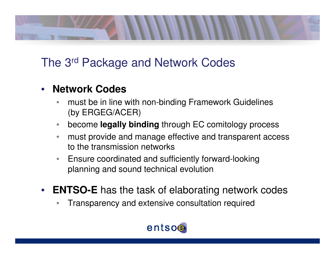

## The 3<sup>rd</sup> Package and Network Codes

### $\bullet$ **Network Codes**

- must be in line with non-binding Framework Guidelines •(by ERGEG/ACER)
- $\bullet$ become **legally binding** through EC comitology process
- • must provide and manage effective and transparent access to the transmission networks
- Ensure coordinated and sufficiently forward-lookingplanning and sound technical evolution
- $\bullet$  **ENTSO-E** has the task of elaborating network codes
	- •Transparency and extensive consultation required

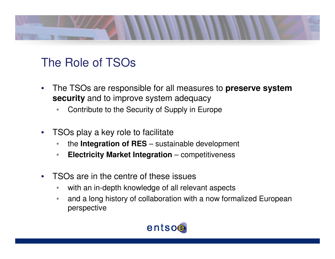

## The Role of TSOs

- $\bullet$  The TSOs are responsible for all measures to **preserve system security** and to improve system adequacy
	- •Contribute to the Security of Supply in Europe
- $\bullet$  TSOs play a key role to facilitate
	- the **Integration of RES** sustainable development •
	- $\bullet$ **Electricity Market Integration** – competitiveness
- $\bullet$  TSOs are in the centre of these issues
	- •with an in-depth knowledge of all relevant aspects
	- • and a long history of collaboration with a now formalized European perspective

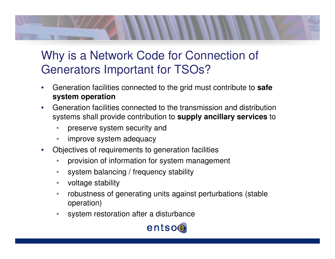# Why is a Network Code for Connection of Generators Important for TSOs?

- • Generation facilities connected to the grid must contribute to **safe system operation**
- Generation facilities connected to the transmission and distribution •systems shall provide contribution to **supply ancillary services** to
	- •preserve system security and
	- •improve system adequacy
- • Objectives of requirements to generation facilities
	- $\bullet$ provision of information for system management
	- •system balancing / frequency stability
	- •voltage stability
	- • robustness of generating units against perturbations (stable operation)
	- •system restoration after a disturbance

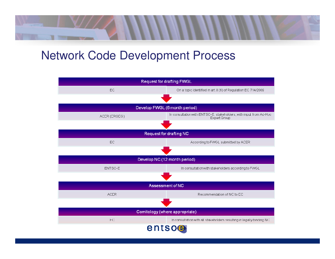## Network Code Development Process

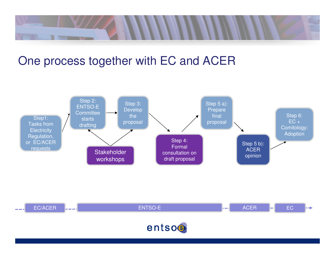

## One process together with EC and ACER



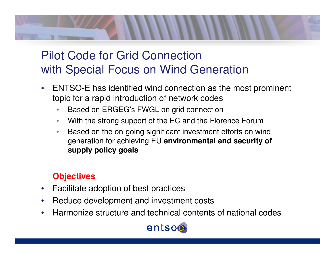

## Pilot Code for Grid Connection with Special Focus on Wind Generation

- $\bullet$  ENTSO-E has identified wind connection as the most prominent topic for a rapid introduction of network codes
	- **Based on ERGEG's FWGL on grid connection** •
	- •With the strong support of the EC and the Florence Forum
	- Based on the on-going significant investment efforts on wind •generation for achieving EU **environmental and security of supply policy goals**

## **Objectives**

- $\bullet$ Facilitate adoption of best practices
- $\bullet$ Reduce development and investment costs
- $\bullet$ Harmonize structure and technical contents of national codes

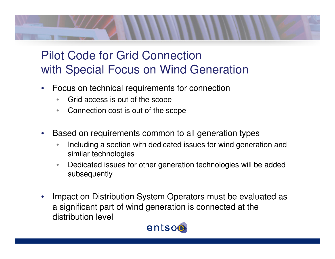

## Pilot Code for Grid Connection with Special Focus on Wind Generation

- $\bullet$  Focus on technical requirements for connection
	- $\bullet$ Grid access is out of the scope
	- •Connection cost is out of the scope
- • Based on requirements common to all generation types
	- **Including a section with dedicated issues for wind generation and** •similar technologies
	- $\bullet$  Dedicated issues for other generation technologies will be addedsubsequently
- • Impact on Distribution System Operators must be evaluated as a significant part of wind generation is connected at the distribution level

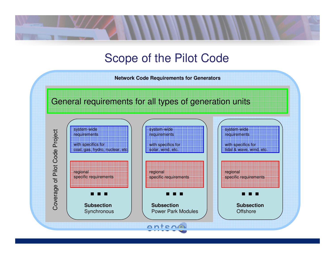## Scope of the Pilot Code

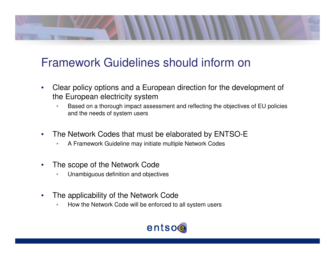

## Framework Guidelines should inform on

- $\bullet$  Clear policy options and a European direction for the development of the European electricity system
	- Based on a thorough impact assessment and reflecting the objectives of EU policies •and the needs of system users
- $\bullet$  The Network Codes that must be elaborated by ENTSO-E
	- •A Framework Guideline may initiate multiple Network Codes
- $\bullet$  The scope of the Network Code
	- Unambiguous definition and objectives•
- $\bullet$  The applicability of the Network Code
	- How the Network Code will be enforced to all system users•

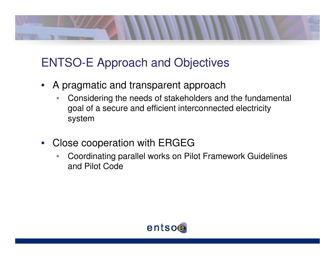

# ENTSO-E Approach and Objectives

- A pragmatic and transparent approach
	- • Considering the needs of stakeholders and the fundamental goal of a secure and efficient interconnected electricity system
- • Close cooperation with ERGEG
	- Coordinating parallel works on Pilot Framework Guidelines •and Pilot Code

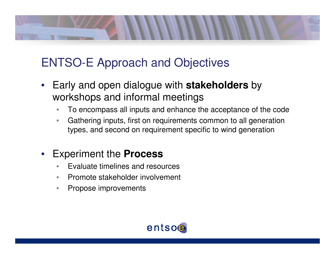

# ENTSO-E Approach and Objectives

- Early and open dialogue with **stakeholders** by workshops and informal meetings
	- To encompass all inputs and enhance the acceptance of the code  $\bullet$
	- Gathering inputs, first on requirements common to all generation $\bullet$ types, and second on requirement specific to wind generation

### •Experiment the **Process**

- **Evaluate timelines and resources** •
- •Promote stakeholder involvement
- •Propose improvements

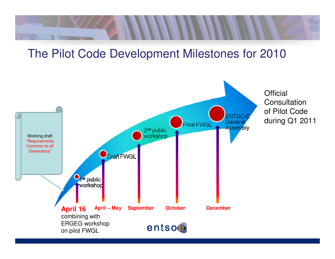

## The Pilot Code Development Milestones for 2010